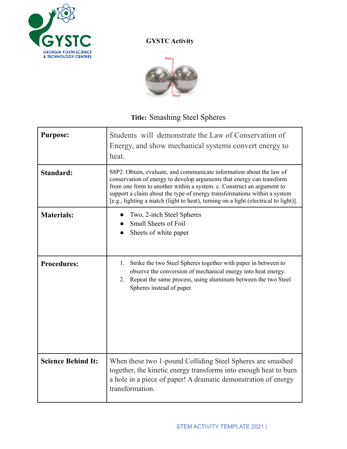

## **GYSTC Activity**



## **Title:** Smashing Steel Spheres

| <b>Purpose:</b>           | Students will demonstrate the Law of Conservation of<br>Energy, and show mechanical systems convert energy to<br>heat.                                                                                                                                                                                                                                                                    |
|---------------------------|-------------------------------------------------------------------------------------------------------------------------------------------------------------------------------------------------------------------------------------------------------------------------------------------------------------------------------------------------------------------------------------------|
| Standard:                 | S8P2. Obtain, evaluate, and communicate information about the law of<br>conservation of energy to develop arguments that energy can transform<br>from one form to another within a system. c. Construct an argument to<br>support a claim about the type of energy transformations within a system<br>[e.g., lighting a match (light to heat), turning on a light (electrical to light)]. |
| <b>Materials:</b>         | Two, 2-inch Steel Spheres<br><b>Small Sheets of Foil</b><br>Sheets of white paper                                                                                                                                                                                                                                                                                                         |
| <b>Procedures:</b>        | Strike the two Steel Spheres together with paper in between to<br>1.<br>observe the conversion of mechanical energy into heat energy.<br>Repeat the same process, using aluminum between the two Steel<br>2.<br>Spheres instead of paper                                                                                                                                                  |
| <b>Science Behind It:</b> | When these two 1-pound Colliding Steel Spheres are smashed<br>together, the kinetic energy transforms into enough heat to burn<br>a hole in a piece of paper! A dramatic demonstration of energy<br>transformation.                                                                                                                                                                       |